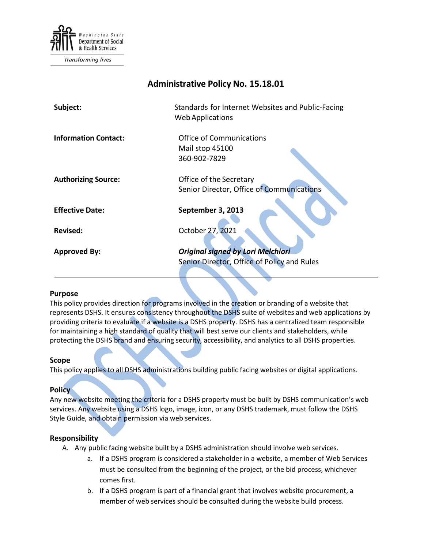

Transforming lives

# **Administrative Policy No. 15.18.01**

| Subject:                    | Standards for Internet Websites and Public-Facing<br><b>Web Applications</b>            |
|-----------------------------|-----------------------------------------------------------------------------------------|
| <b>Information Contact:</b> | <b>Office of Communications</b><br>Mail stop 45100                                      |
|                             | 360-902-7829                                                                            |
| <b>Authorizing Source:</b>  | Office of the Secretary<br>Senior Director, Office of Communications                    |
| <b>Effective Date:</b>      | September 3, 2013                                                                       |
| <b>Revised:</b>             | October 27, 2021                                                                        |
| <b>Approved By:</b>         | <b>Original signed by Lori Melchiori</b><br>Senior Director, Office of Policy and Rules |

# **Purpose**

This policy provides direction for programs involved in the creation or branding of a website that represents DSHS. It ensures consistency throughout the DSHS suite of websites and web applications by providing criteria to evaluate if a website is a DSHS property. DSHS has a centralized team responsible for maintaining a high standard of quality that will best serve our clients and stakeholders, while protecting the DSHS brand and ensuring security, accessibility, and analytics to all DSHS properties.

### **Scope**

This policy applies to all DSHS administrations building public facing websites or digital applications.

# **Policy**

Any new website meeting the criteria for a DSHS property must be built by DSHS communication's web services. Any website using a DSHS logo, image, icon, or any DSHS trademark, must follow the DSHS Style Guide, and obtain permission via web services.

# **Responsibility**

- A. Any public facing website built by a DSHS administration should involve web services.
	- a. If a DSHS program is considered a stakeholder in a website, a member of Web Services must be consulted from the beginning of the project, or the bid process, whichever comes first.
	- b. If a DSHS program is part of a financial grant that involves website procurement, a member of web services should be consulted during the website build process.